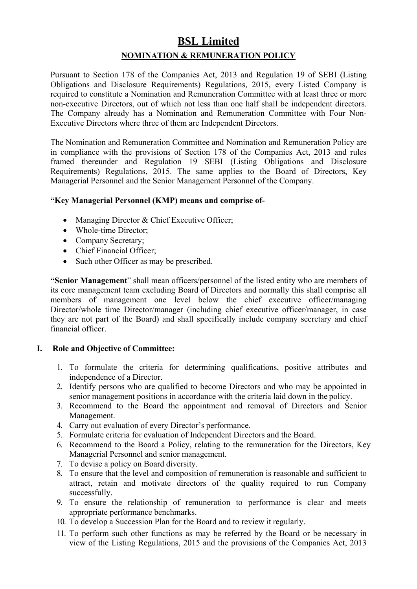# **BSL Limited NOMINATION & REMUNERATION POLICY**

Pursuant to Section 178 of the Companies Act, 2013 and Regulation 19 of SEBI (Listing Obligations and Disclosure Requirements) Regulations, 2015, every Listed Company is required to constitute a Nomination and Remuneration Committee with at least three or more non-executive Directors, out of which not less than one half shall be independent directors. The Company already has a Nomination and Remuneration Committee with Four Non-Executive Directors where three of them are Independent Directors.

The Nomination and Remuneration Committee and Nomination and Remuneration Policy are in compliance with the provisions of Section 178 of the Companies Act, 2013 and rules framed thereunder and Regulation 19 SEBI (Listing Obligations and Disclosure Requirements) Regulations, 2015. The same applies to the Board of Directors, Key Managerial Personnel and the Senior Management Personnel of the Company.

#### **"Key Managerial Personnel (KMP) means and comprise of-**

- Managing Director & Chief Executive Officer;
- Whole-time Director;
- Company Secretary;
- Chief Financial Officer;
- Such other Officer as may be prescribed.

**"Senior Management**" shall mean officers/personnel of the listed entity who are members of its core management team excluding Board of Directors and normally this shall comprise all members of management one level below the chief executive officer/managing Director/whole time Director/manager (including chief executive officer/manager, in case they are not part of the Board) and shall specifically include company secretary and chief financial officer.

## **I. Role and Objective of Committee:**

- 1. To formulate the criteria for determining qualifications, positive attributes and independence of a Director.
- 2. Identify persons who are qualified to become Directors and who may be appointed in senior management positions in accordance with the criteria laid down in the policy.
- 3. Recommend to the Board the appointment and removal of Directors and Senior Management.
- 4. Carry out evaluation of every Director's performance.
- 5. Formulate criteria for evaluation of Independent Directors and the Board.
- 6. Recommend to the Board a Policy, relating to the remuneration for the Directors, Key Managerial Personnel and senior management.
- 7. To devise a policy on Board diversity.
- 8. To ensure that the level and composition of remuneration is reasonable and sufficient to attract, retain and motivate directors of the quality required to run Company successfully.
- 9. To ensure the relationship of remuneration to performance is clear and meets appropriate performance benchmarks.
- 10. To develop a Succession Plan for the Board and to review it regularly.
- 11. To perform such other functions as may be referred by the Board or be necessary in view of the Listing Regulations, 2015 and the provisions of the Companies Act, 2013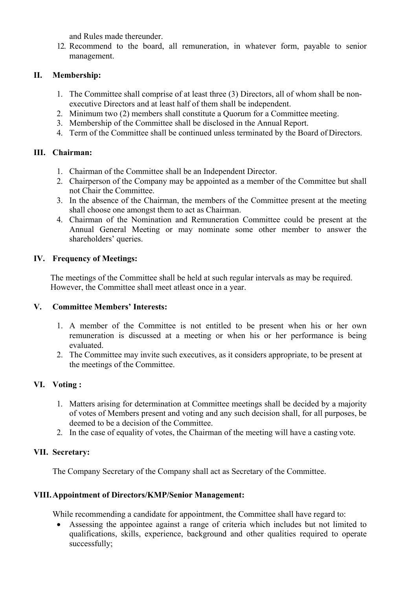and Rules made thereunder.

12. Recommend to the board, all remuneration, in whatever form, payable to senior management.

# **II. Membership:**

- 1. The Committee shall comprise of at least three (3) Directors, all of whom shall be nonexecutive Directors and at least half of them shall be independent.
- 2. Minimum two (2) members shall constitute a Quorum for a Committee meeting.
- 3. Membership of the Committee shall be disclosed in the Annual Report.
- 4. Term of the Committee shall be continued unless terminated by the Board of Directors.

# **III. Chairman:**

- 1. Chairman of the Committee shall be an Independent Director.
- 2. Chairperson of the Company may be appointed as a member of the Committee but shall not Chair the Committee.
- 3. In the absence of the Chairman, the members of the Committee present at the meeting shall choose one amongst them to act as Chairman.
- 4. Chairman of the Nomination and Remuneration Committee could be present at the Annual General Meeting or may nominate some other member to answer the shareholders' queries.

# **IV. Frequency of Meetings:**

The meetings of the Committee shall be held at such regular intervals as may be required. However, the Committee shall meet atleast once in a year.

# **V. Committee Members' Interests:**

- 1. A member of the Committee is not entitled to be present when his or her own remuneration is discussed at a meeting or when his or her performance is being evaluated.
- 2. The Committee may invite such executives, as it considers appropriate, to be present at the meetings of the Committee.

# **VI. Voting :**

- 1. Matters arising for determination at Committee meetings shall be decided by a majority of votes of Members present and voting and any such decision shall, for all purposes, be deemed to be a decision of the Committee.
- 2. In the case of equality of votes, the Chairman of the meeting will have a casting vote.

# **VII. Secretary:**

The Company Secretary of the Company shall act as Secretary of the Committee.

## **VIII.Appointment of Directors/KMP/Senior Management:**

While recommending a candidate for appointment, the Committee shall have regard to:

• Assessing the appointee against a range of criteria which includes but not limited to qualifications, skills, experience, background and other qualities required to operate successfully;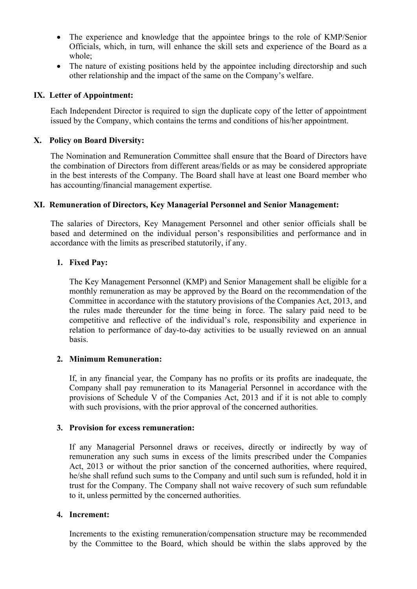- The experience and knowledge that the appointee brings to the role of KMP/Senior Officials, which, in turn, will enhance the skill sets and experience of the Board as a whole;
- The nature of existing positions held by the appointee including directorship and such other relationship and the impact of the same on the Company's welfare.

#### **IX. Letter of Appointment:**

Each Independent Director is required to sign the duplicate copy of the letter of appointment issued by the Company, which contains the terms and conditions of his/her appointment.

#### **X. Policy on Board Diversity:**

The Nomination and Remuneration Committee shall ensure that the Board of Directors have the combination of Directors from different areas/fields or as may be considered appropriate in the best interests of the Company. The Board shall have at least one Board member who has accounting/financial management expertise.

#### **XI. Remuneration of Directors, Key Managerial Personnel and Senior Management:**

The salaries of Directors, Key Management Personnel and other senior officials shall be based and determined on the individual person's responsibilities and performance and in accordance with the limits as prescribed statutorily, if any.

#### **1. Fixed Pay:**

The Key Management Personnel (KMP) and Senior Management shall be eligible for a monthly remuneration as may be approved by the Board on the recommendation of the Committee in accordance with the statutory provisions of the Companies Act, 2013, and the rules made thereunder for the time being in force. The salary paid need to be competitive and reflective of the individual's role, responsibility and experience in relation to performance of day-to-day activities to be usually reviewed on an annual basis.

#### **2. Minimum Remuneration:**

If, in any financial year, the Company has no profits or its profits are inadequate, the Company shall pay remuneration to its Managerial Personnel in accordance with the provisions of Schedule V of the Companies Act, 2013 and if it is not able to comply with such provisions, with the prior approval of the concerned authorities.

#### **3. Provision for excess remuneration:**

If any Managerial Personnel draws or receives, directly or indirectly by way of remuneration any such sums in excess of the limits prescribed under the Companies Act, 2013 or without the prior sanction of the concerned authorities, where required, he/she shall refund such sums to the Company and until such sum is refunded, hold it in trust for the Company. The Company shall not waive recovery of such sum refundable to it, unless permitted by the concerned authorities.

#### **4. Increment:**

Increments to the existing remuneration/compensation structure may be recommended by the Committee to the Board, which should be within the slabs approved by the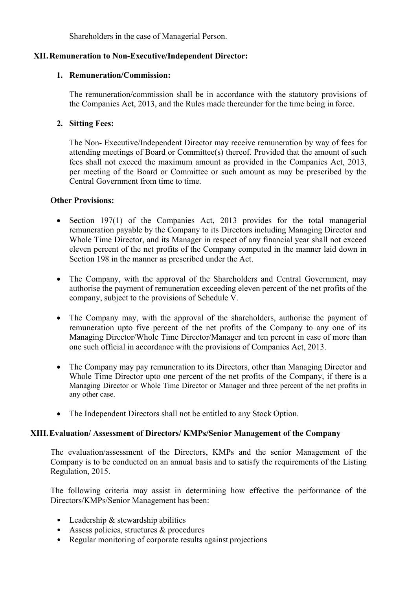Shareholders in the case of Managerial Person.

#### **XII.Remuneration to Non-Executive/Independent Director:**

#### **1. Remuneration/Commission:**

The remuneration/commission shall be in accordance with the statutory provisions of the Companies Act, 2013, and the Rules made thereunder for the time being in force.

# **2. Sitting Fees:**

The Non- Executive/Independent Director may receive remuneration by way of fees for attending meetings of Board or Committee(s) thereof. Provided that the amount of such fees shall not exceed the maximum amount as provided in the Companies Act, 2013, per meeting of the Board or Committee or such amount as may be prescribed by the Central Government from time to time.

#### **Other Provisions:**

- Section 197(1) of the Companies Act, 2013 provides for the total managerial remuneration payable by the Company to its Directors including Managing Director and Whole Time Director, and its Manager in respect of any financial year shall not exceed eleven percent of the net profits of the Company computed in the manner laid down in Section 198 in the manner as prescribed under the Act.
- The Company, with the approval of the Shareholders and Central Government, may authorise the payment of remuneration exceeding eleven percent of the net profits of the company, subject to the provisions of Schedule V.
- The Company may, with the approval of the shareholders, authorise the payment of remuneration upto five percent of the net profits of the Company to any one of its Managing Director/Whole Time Director/Manager and ten percent in case of more than one such official in accordance with the provisions of Companies Act, 2013.
- The Company may pay remuneration to its Directors, other than Managing Director and Whole Time Director upto one percent of the net profits of the Company, if there is a Managing Director or Whole Time Director or Manager and three percent of the net profits in any other case.
- The Independent Directors shall not be entitled to any Stock Option.

#### **XIII.Evaluation/ Assessment of Directors/ KMPs/Senior Management of the Company**

The evaluation/assessment of the Directors, KMPs and the senior Management of the Company is to be conducted on an annual basis and to satisfy the requirements of the Listing Regulation, 2015.

The following criteria may assist in determining how effective the performance of the Directors/KMPs/Senior Management has been:

- Leadership & stewardship abilities
- Assess policies, structures & procedures
- Regular monitoring of corporate results against projections